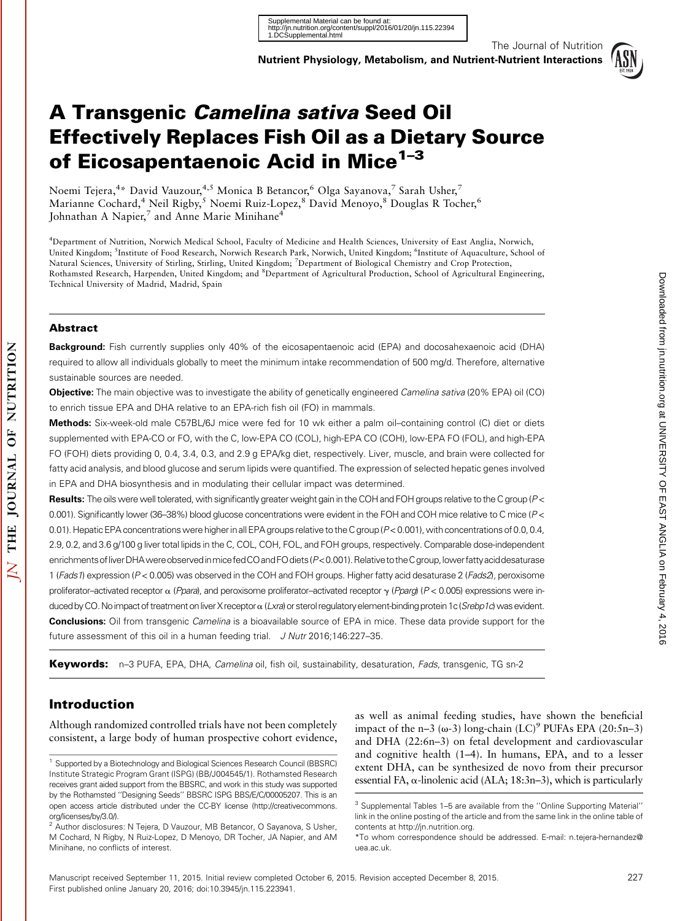

The Journal of Nutrition

# A Transgenic Camelina sativa Seed Oil Effectively Replaces Fish Oil as a Dietary Source of Eicosapentaenoic Acid in Mice<sup>1-3</sup>

Noemi Tejera,<sup>4</sup>\* David Vauzour,<sup>4,5</sup> Monica B Betancor,<sup>6</sup> Olga Sayanova,<sup>7</sup> Sarah Usher,<sup>7</sup> Marianne Cochard,<sup>4</sup> Neil Rigby,<sup>5</sup> Noemi Ruiz-Lopez,<sup>8</sup> David Menoyo,<sup>8</sup> Douglas R Tocher,<sup>6</sup> Johnathan A Napier,<sup>7</sup> and Anne Marie Minihane<sup>4</sup>

4 Department of Nutrition, Norwich Medical School, Faculty of Medicine and Health Sciences, University of East Anglia, Norwich, United Kingdom; <sup>5</sup>Institute of Food Research, Norwich Research Park, Norwich, United Kingdom; <sup>6</sup>Institute of Aquaculture, School of Natural Sciences, University of Stirling, Stirling, United Kingdom; <sup>7</sup> Department of Biological Chemistry and Crop Protection, Rothamsted Research, Harpenden, United Kingdom; and <sup>8</sup>Department of Agricultural Production, School of Agricultural Engineering, Technical University of Madrid, Madrid, Spain

#### Abstract

Background: Fish currently supplies only 40% of the eicosapentaenoic acid (EPA) and docosahexaenoic acid (DHA) required to allow all individuals globally to meet the minimum intake recommendation of 500 mg/d. Therefore, alternative sustainable sources are needed.

Objective: The main objective was to investigate the ability of genetically engineered Camelina sativa (20% EPA) oil (CO) to enrich tissue EPA and DHA relative to an EPA-rich fish oil (FO) in mammals.

Methods: Six-week-old male C57BL/6J mice were fed for 10 wk either a palm oil–containing control (C) diet or diets supplemented with EPA-CO or FO, with the C, low-EPA CO (COL), high-EPA CO (COH), low-EPA FO (FOL), and high-EPA FO (FOH) diets providing 0, 0.4, 3.4, 0.3, and 2.9 g EPA/kg diet, respectively. Liver, muscle, and brain were collected for fatty acid analysis, and blood glucose and serum lipids were quantified. The expression of selected hepatic genes involved in EPA and DHA biosynthesis and in modulating their cellular impact was determined.

Results: The oils were well tolerated, with significantly greater weight gain in the COH and FOH groups relative to the C group (P< 0.001). Significantly lower (36–38%) blood glucose concentrations were evident in the FOH and COH mice relative to C mice (P < 0.01). Hepatic EPA concentrations were higher in all EPA groups relative to the C group ( $P < 0.001$ ), with concentrations of 0.0, 0.4, 2.9, 0.2, and 3.6 g/100 g liver total lipids in the C, COL, COH, FOL, and FOH groups, respectively. Comparable dose-independent enrichments of liver DHA were observed in mice fed CO and FO diets (P<0.001). Relative to the Cgroup, lower fatty acid desaturase 1 (Fads1) expression (P < 0.005) was observed in the COH and FOH groups. Higher fatty acid desaturase 2 (Fads2), peroxisome proliferator–activated receptor  $\alpha$  (Ppara), and peroxisome proliferator–activated receptor  $\gamma$  (Pparg) (P < 0.005) expressions were induced by CO. No impact of treatment on liver X receptor  $\alpha$  (Lxra) or sterol regulatory element-binding protein 1c (Srebp1c) was evident. **Conclusions:** Oil from transgenic *Camelina* is a bioavailable source of EPA in mice. These data provide support for the future assessment of this oil in a human feeding trial. J Nutr 2016;146:227-35.

Keywords: n–3 PUFA, EPA, DHA, Camelina oil, fish oil, sustainability, desaturation, Fads, transgenic, TG sn-2

# Introduction

Although randomized controlled trials have not been completely consistent, a large body of human prospective cohort evidence,

as well as animal feeding studies, have shown the beneficial impact of the n–3 ( $\omega$ -3) long-chain (LC)<sup>9</sup> PUFAs EPA (20:5n–3) and DHA (22:6n–3) on fetal development and cardiovascular and cognitive health (1–4). In humans, EPA, and to a lesser extent DHA, can be synthesized de novo from their precursor essential FA,  $\alpha$ -linolenic acid (ALA; 18:3n–3), which is particularly

<sup>1</sup> Supported by a Biotechnology and Biological Sciences Research Council (BBSRC) Institute Strategic Program Grant (ISPG) (BB/J004545/1). Rothamsted Research receives grant aided support from the BBSRC, and work in this study was supported by the Rothamsted ''Designing Seeds'' BBSRC ISPG BBS/E/C/00005207. This is an open access article distributed under the CC-BY license (http://creativecommons. org/licenses/by/3.0/).

<sup>&</sup>lt;sup>2</sup> Author disclosures: N Tejera, D Vauzour, MB Betancor, O Sayanova, S Usher, M Cochard, N Rigby, N Ruiz-Lopez, D Menoyo, DR Tocher, JA Napier, and AM Minihane, no conflicts of interest.

<sup>3</sup> Supplemental Tables 1–5 are available from the ''Online Supporting Material'' link in the online posting of the article and from the same link in the online table of contents at http://jn.nutrition.org.

<sup>\*</sup>To whom correspondence should be addressed. E-mail: n.tejera-hernandez@ uea.ac.uk.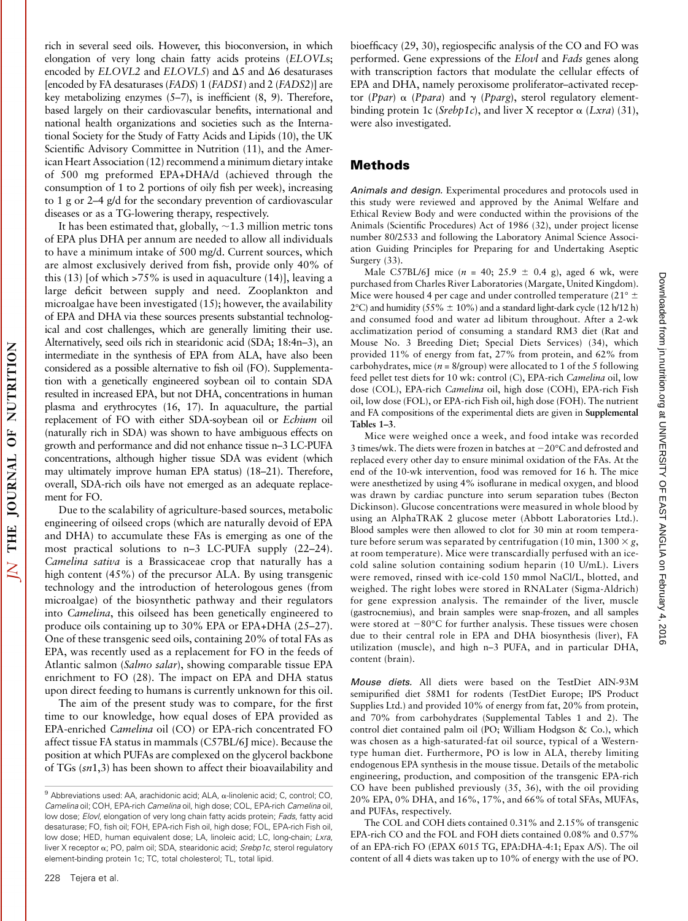rich in several seed oils. However, this bioconversion, in which elongation of very long chain fatty acids proteins (ELOVLs; encoded by  $ELOVL2$  and  $ELOVL5$ ) and  $\Delta 5$  and  $\Delta 6$  desaturases [encoded by FA desaturases (*FADS*) 1 (*FADS1*) and 2 (*FADS2*)] are key metabolizing enzymes (5–7), is inefficient (8, 9). Therefore, based largely on their cardiovascular benefits, international and national health organizations and societies such as the International Society for the Study of Fatty Acids and Lipids (10), the UK Scientific Advisory Committee in Nutrition (11), and the American Heart Association (12) recommend a minimum dietary intake of 500 mg preformed EPA+DHA/d (achieved through the consumption of 1 to 2 portions of oily fish per week), increasing to 1 g or 2–4 g/d for the secondary prevention of cardiovascular diseases or as a TG-lowering therapy, respectively.

It has been estimated that, globally,  $\sim$  1.3 million metric tons of EPA plus DHA per annum are needed to allow all individuals to have a minimum intake of 500 mg/d. Current sources, which are almost exclusively derived from fish, provide only 40% of this (13) [of which >75% is used in aquaculture (14)], leaving a large deficit between supply and need. Zooplankton and microalgae have been investigated (15); however, the availability of EPA and DHA via these sources presents substantial technological and cost challenges, which are generally limiting their use. Alternatively, seed oils rich in stearidonic acid (SDA; 18:4n–3), an intermediate in the synthesis of EPA from ALA, have also been considered as a possible alternative to fish oil (FO). Supplementation with a genetically engineered soybean oil to contain SDA resulted in increased EPA, but not DHA, concentrations in human plasma and erythrocytes (16, 17). In aquaculture, the partial replacement of FO with either SDA-soybean oil or Echium oil (naturally rich in SDA) was shown to have ambiguous effects on growth and performance and did not enhance tissue n–3 LC-PUFA concentrations, although higher tissue SDA was evident (which may ultimately improve human EPA status) (18–21). Therefore, overall, SDA-rich oils have not emerged as an adequate replacement for FO.

Due to the scalability of agriculture-based sources, metabolic engineering of oilseed crops (which are naturally devoid of EPA and DHA) to accumulate these FAs is emerging as one of the most practical solutions to n–3 LC-PUFA supply (22–24). Camelina sativa is a Brassicaceae crop that naturally has a high content (45%) of the precursor ALA. By using transgenic technology and the introduction of heterologous genes (from microalgae) of the biosynthetic pathway and their regulators into Camelina, this oilseed has been genetically engineered to produce oils containing up to 30% EPA or EPA+DHA (25–27). One of these transgenic seed oils, containing 20% of total FAs as EPA, was recently used as a replacement for FO in the feeds of Atlantic salmon (Salmo salar), showing comparable tissue EPA enrichment to FO (28). The impact on EPA and DHA status upon direct feeding to humans is currently unknown for this oil.

The aim of the present study was to compare, for the first time to our knowledge, how equal doses of EPA provided as EPA-enriched Camelina oil (CO) or EPA-rich concentrated FO affect tissue FA status in mammals (C57BL/6J mice). Because the position at which PUFAs are complexed on the glycerol backbone of TGs (sn1,3) has been shown to affect their bioavailability and

bioefficacy (29, 30), regiospecific analysis of the CO and FO was performed. Gene expressions of the Elovl and Fads genes along with transcription factors that modulate the cellular effects of EPA and DHA, namely peroxisome proliferator–activated receptor (*Ppar*)  $\alpha$  (*Ppara*) and  $\gamma$  (*Pparg*), sterol regulatory elementbinding protein 1c (Srebp1c), and liver X receptor  $\alpha$  (Lxra) (31), were also investigated.

# Methods

Animals and design. Experimental procedures and protocols used in this study were reviewed and approved by the Animal Welfare and Ethical Review Body and were conducted within the provisions of the Animals (Scientific Procedures) Act of 1986 (32), under project license number 80/2533 and following the Laboratory Animal Science Association Guiding Principles for Preparing for and Undertaking Aseptic Surgery (33).

Male C57BL/6J mice ( $n = 40$ ; 25.9  $\pm$  0.4 g), aged 6 wk, were purchased from Charles River Laboratories (Margate, United Kingdom). Mice were housed 4 per cage and under controlled temperature (21 $^{\circ}$   $\pm$  $2^{\circ}$ C) and humidity (55%  $\pm$  10%) and a standard light-dark cycle (12 h/12 h) and consumed food and water ad libitum throughout. After a 2-wk acclimatization period of consuming a standard RM3 diet (Rat and Mouse No. 3 Breeding Diet; Special Diets Services) (34), which provided 11% of energy from fat, 27% from protein, and 62% from carbohydrates, mice ( $n = 8$ /group) were allocated to 1 of the 5 following feed pellet test diets for 10 wk: control (C), EPA-rich Camelina oil, low dose (COL), EPA-rich Camelina oil, high dose (COH), EPA-rich Fish oil, low dose (FOL), or EPA-rich Fish oil, high dose (FOH). The nutrient and FA compositions of the experimental diets are given in Supplemental Tables 1–3.

Mice were weighed once a week, and food intake was recorded 3 times/wk. The diets were frozen in batches at  $-20^{\circ}$ C and defrosted and replaced every other day to ensure minimal oxidation of the FAs. At the end of the 10-wk intervention, food was removed for 16 h. The mice were anesthetized by using 4% isoflurane in medical oxygen, and blood was drawn by cardiac puncture into serum separation tubes (Becton Dickinson). Glucose concentrations were measured in whole blood by using an AlphaTRAK 2 glucose meter (Abbott Laboratories Ltd.). Blood samples were then allowed to clot for 30 min at room temperature before serum was separated by centrifugation (10 min,  $1300 \times g$ , at room temperature). Mice were transcardially perfused with an icecold saline solution containing sodium heparin (10 U/mL). Livers were removed, rinsed with ice-cold 150 mmol NaCl/L, blotted, and weighed. The right lobes were stored in RNALater (Sigma-Aldrich) for gene expression analysis. The remainder of the liver, muscle (gastrocnemius), and brain samples were snap-frozen, and all samples were stored at  $-80^{\circ}$ C for further analysis. These tissues were chosen due to their central role in EPA and DHA biosynthesis (liver), FA utilization (muscle), and high n–3 PUFA, and in particular DHA, content (brain).

Mouse diets. All diets were based on the TestDiet AIN-93M semipurified diet 58M1 for rodents (TestDiet Europe; IPS Product Supplies Ltd.) and provided 10% of energy from fat, 20% from protein, and 70% from carbohydrates (Supplemental Tables 1 and 2). The control diet contained palm oil (PO; William Hodgson & Co.), which was chosen as a high-saturated-fat oil source, typical of a Westerntype human diet. Furthermore, PO is low in ALA, thereby limiting endogenous EPA synthesis in the mouse tissue. Details of the metabolic engineering, production, and composition of the transgenic EPA-rich CO have been published previously (35, 36), with the oil providing 20% EPA, 0% DHA, and 16%, 17%, and 66% of total SFAs, MUFAs, and PUFAs, respectively.

The COL and COH diets contained 0.31% and 2.15% of transgenic EPA-rich CO and the FOL and FOH diets contained 0.08% and 0.57% of an EPA-rich FO (EPAX 6015 TG, EPA:DHA-4:1; Epax A/S). The oil content of all 4 diets was taken up to 10% of energy with the use of PO.

 $9$  Abbreviations used: AA, arachidonic acid; ALA,  $\alpha$ -linolenic acid; C, control; CO, Camelina oil; COH, EPA-rich Camelina oil, high dose; COL, EPA-rich Camelina oil, low dose; Elovl, elongation of very long chain fatty acids protein; Fads, fatty acid desaturase; FO, fish oil; FOH, EPA-rich Fish oil, high dose; FOL, EPA-rich Fish oil, low dose; HED, human equivalent dose; LA, linoleic acid; LC, long-chain; Lxra, liver X receptor  $\alpha$ ; PO, palm oil; SDA, stearidonic acid; Srebp1c, sterol regulatory element-binding protein 1c; TC, total cholesterol; TL, total lipid.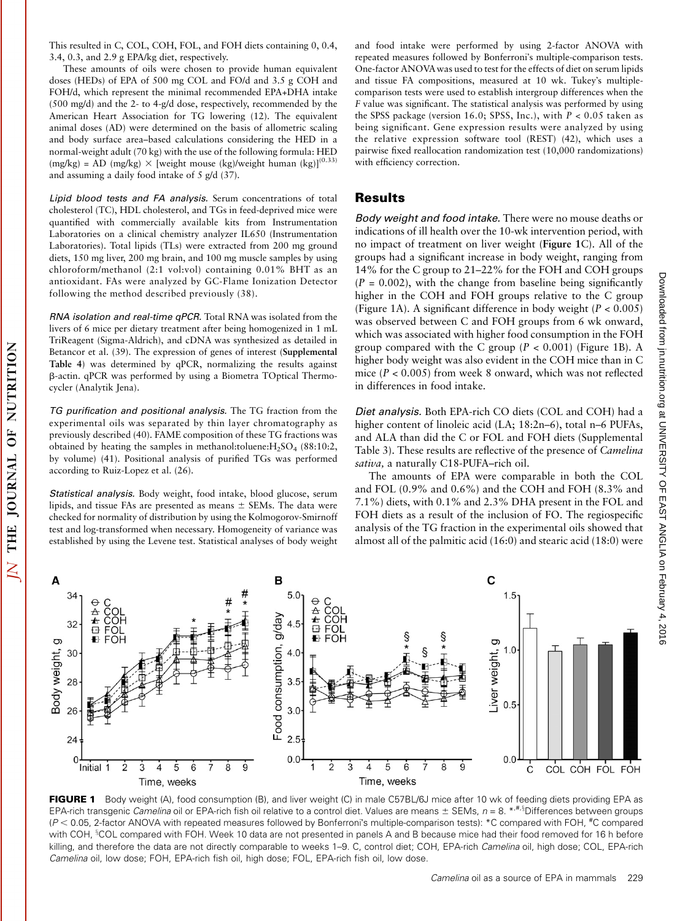This resulted in C, COL, COH, FOL, and FOH diets containing 0, 0.4, 3.4, 0.3, and 2.9 g EPA/kg diet, respectively.

These amounts of oils were chosen to provide human equivalent doses (HEDs) of EPA of 500 mg COL and FO/d and 3.5 g COH and FOH/d, which represent the minimal recommended EPA+DHA intake (500 mg/d) and the 2- to 4-g/d dose, respectively, recommended by the American Heart Association for TG lowering (12). The equivalent animal doses (AD) were determined on the basis of allometric scaling and body surface area–based calculations considering the HED in a normal-weight adult (70 kg) with the use of the following formula: HED (mg/kg) = AD (mg/kg)  $\times$  [weight mouse (kg)/weight human (kg)]<sup>(0.33)</sup> and assuming a daily food intake of 5 g/d (37).

Lipid blood tests and FA analysis. Serum concentrations of total cholesterol (TC), HDL cholesterol, and TGs in feed-deprived mice were quantified with commercially available kits from Instrumentation Laboratories on a clinical chemistry analyzer IL650 (Instrumentation Laboratories). Total lipids (TLs) were extracted from 200 mg ground diets, 150 mg liver, 200 mg brain, and 100 mg muscle samples by using chloroform/methanol (2:1 vol:vol) containing 0.01% BHT as an antioxidant. FAs were analyzed by GC-Flame Ionization Detector following the method described previously (38).

RNA isolation and real-time qPCR. Total RNA was isolated from the livers of 6 mice per dietary treatment after being homogenized in 1 mL TriReagent (Sigma-Aldrich), and cDNA was synthesized as detailed in Betancor et al. (39). The expression of genes of interest (Supplemental Table 4) was determined by qPCR, normalizing the results against b-actin. qPCR was performed by using a Biometra TOptical Thermocycler (Analytik Jena).

TG purification and positional analysis. The TG fraction from the experimental oils was separated by thin layer chromatography as previously described (40). FAME composition of these TG fractions was obtained by heating the samples in methanol:toluene:H2SO4 (88:10:2, by volume) (41). Positional analysis of purified TGs was performed according to Ruiz-Lopez et al. (26).

Statistical analysis. Body weight, food intake, blood glucose, serum lipids, and tissue FAs are presented as means  $\pm$  SEMs. The data were checked for normality of distribution by using the Kolmogorov-Smirnoff test and log-transformed when necessary. Homogeneity of variance was established by using the Levene test. Statistical analyses of body weight and food intake were performed by using 2-factor ANOVA with repeated measures followed by Bonferronis multiple-comparison tests. One-factor ANOVAwas used to test for the effects of diet on serum lipids and tissue FA compositions, measured at 10 wk. Tukey's multiplecomparison tests were used to establish intergroup differences when the F value was significant. The statistical analysis was performed by using the SPSS package (version 16.0; SPSS, Inc.), with  $P < 0.05$  taken as being significant. Gene expression results were analyzed by using the relative expression software tool (REST) (42), which uses a pairwise fixed reallocation randomization test (10,000 randomizations) with efficiency correction.

## Results

Body weight and food intake. There were no mouse deaths or indications of ill health over the 10-wk intervention period, with no impact of treatment on liver weight (Figure 1C). All of the groups had a significant increase in body weight, ranging from 14% for the C group to 21–22% for the FOH and COH groups  $(P = 0.002)$ , with the change from baseline being significantly higher in the COH and FOH groups relative to the C group (Figure 1A). A significant difference in body weight  $(P < 0.005)$ ) was observed between C and FOH groups from 6 wk onward, which was associated with higher food consumption in the FOH group compared with the C group ( $P < 0.001$ ) (Figure 1B). A higher body weight was also evident in the COH mice than in C mice ( $P < 0.005$ ) from week 8 onward, which was not reflected in differences in food intake.

Diet analysis. Both EPA-rich CO diets (COL and COH) had a higher content of linoleic acid (LA; 18:2n–6), total n–6 PUFAs, and ALA than did the C or FOL and FOH diets (Supplemental Table 3). These results are reflective of the presence of Camelina sativa, a naturally C18-PUFA–rich oil.

The amounts of EPA were comparable in both the COL and FOL (0.9% and 0.6%) and the COH and FOH (8.3% and 7.1%) diets, with 0.1% and 2.3% DHA present in the FOL and FOH diets as a result of the inclusion of FO. The regiospecific analysis of the TG fraction in the experimental oils showed that almost all of the palmitic acid (16:0) and stearic acid (18:0) were



FIGURE 1 Body weight (A), food consumption (B), and liver weight (C) in male C57BL/6J mice after 10 wk of feeding diets providing EPA as EPA-rich transgenic Camelina oil or EPA-rich fish oil relative to a control diet. Values are means ± SEMs, n = 8. \*<sup>,#,\$</sup>Differences between groups  $(P < 0.05$ , 2-factor ANOVA with repeated measures followed by Bonferroni's multiple-comparison tests): \*C compared with FOH,  ${}^{#}$ C compared with COH, <sup>s</sup>COL compared with FOH. Week 10 data are not presented in panels A and B because mice had their food removed for 16 h before killing, and therefore the data are not directly comparable to weeks 1–9. C, control diet; COH, EPA-rich Camelina oil, high dose; COL, EPA-rich Camelina oil, low dose; FOH, EPA-rich fish oil, high dose; FOL, EPA-rich fish oil, low dose.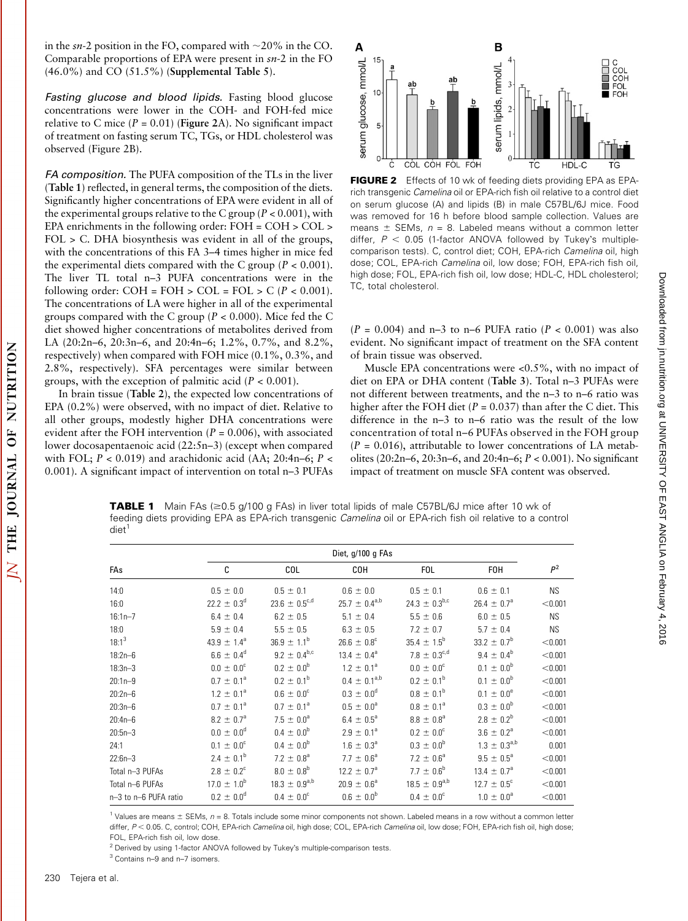in the  $sn-2$  position in the FO, compared with  $\sim$ 20% in the CO. Comparable proportions of EPA were present in sn-2 in the FO  $(46.0\%)$  and CO  $(51.5\%)$  (Supplemental Table 5).

Fasting glucose and blood lipids. Fasting blood glucose concentrations were lower in the COH- and FOH-fed mice relative to C mice ( $P = 0.01$ ) (Figure 2A). No significant impact of treatment on fasting serum TC, TGs, or HDL cholesterol was observed (Figure 2B).

FA composition. The PUFA composition of the TLs in the liver (Table 1) reflected, in general terms, the composition of the diets. Significantly higher concentrations of EPA were evident in all of the experimental groups relative to the C group ( $P < 0.001$ ), with EPA enrichments in the following order: FOH = COH > COL > FOL > C. DHA biosynthesis was evident in all of the groups, with the concentrations of this FA 3–4 times higher in mice fed the experimental diets compared with the C group ( $P < 0.001$ ). The liver TL total n–3 PUFA concentrations were in the following order: COH = FOH > COL = FOL > C ( $P < 0.001$ ). The concentrations of LA were higher in all of the experimental groups compared with the C group ( $P < 0.000$ ). Mice fed the C diet showed higher concentrations of metabolites derived from LA (20:2n–6, 20:3n–6, and 20:4n–6; 1.2%, 0.7%, and 8.2%, respectively) when compared with FOH mice (0.1%, 0.3%, and 2.8%, respectively). SFA percentages were similar between groups, with the exception of palmitic acid  $(P < 0.001)$ .

In brain tissue (Table 2), the expected low concentrations of EPA (0.2%) were observed, with no impact of diet. Relative to all other groups, modestly higher DHA concentrations were evident after the FOH intervention  $(P = 0.006)$ , with associated lower docosapentaenoic acid (22:5n–3) (except when compared with FOL;  $P < 0.019$ ) and arachidonic acid (AA; 20:4n–6;  $P <$ 0.001). A significant impact of intervention on total n–3 PUFAs



FIGURE 2 Effects of 10 wk of feeding diets providing EPA as EPArich transgenic Camelina oil or EPA-rich fish oil relative to a control diet on serum glucose (A) and lipids (B) in male C57BL/6J mice. Food was removed for 16 h before blood sample collection. Values are means  $\pm$  SEMs,  $n = 8$ . Labeled means without a common letter differ,  $P < 0.05$  (1-factor ANOVA followed by Tukey's multiplecomparison tests). C, control diet; COH, EPA-rich Camelina oil, high dose; COL, EPA-rich Camelina oil, low dose; FOH, EPA-rich fish oil, high dose; FOL, EPA-rich fish oil, low dose; HDL-C, HDL cholesterol; TC, total cholesterol.

 $(P = 0.004)$  and n-3 to n-6 PUFA ratio  $(P < 0.001)$  was also evident. No significant impact of treatment on the SFA content of brain tissue was observed.

Muscle EPA concentrations were <0.5%, with no impact of diet on EPA or DHA content (Table 3). Total n–3 PUFAs were not different between treatments, and the n–3 to n–6 ratio was higher after the FOH diet ( $P = 0.037$ ) than after the C diet. This difference in the n–3 to n–6 ratio was the result of the low concentration of total n–6 PUFAs observed in the FOH group  $(P = 0.016)$ , attributable to lower concentrations of LA metabolites (20:2n–6, 20:3n–6, and 20:4n–6; P < 0.001). No significant impact of treatment on muscle SFA content was observed.

Downloaded tron in interfacing and DNIVERSITY ANGLIA of FEAST ANGLIA org DOWNloaded from the product of  $\mu$  or  $\mu$ 

Downloaded from jn.nutrition.org at UNIVERSITY OF EAST ANGLIA on February 4, 2016

**TABLE 1** Main FAs ( $\geq$ 0.5 g/100 g FAs) in liver total lipids of male C57BL/6J mice after 10 wk of feeding diets providing EPA as EPA-rich transgenic Camelina oil or EPA-rich fish oil relative to a control diet<sup>1</sup>

|                       | Diet, g/100 g FAs          |                               |                             |                               |                        |           |
|-----------------------|----------------------------|-------------------------------|-----------------------------|-------------------------------|------------------------|-----------|
| FAs                   | C                          | COL                           | COH                         | <b>FOL</b>                    | <b>FOH</b>             | $P^2$     |
| 14:0                  | $0.5 \pm 0.0$              | $0.5 \pm 0.1$                 | $0.6 \pm 0.0$               | $0.5 \pm 0.1$                 | $0.6 \pm 0.1$          | <b>NS</b> |
| 16:0                  | $22.2 \pm 0.3^d$           | 23.6 $\pm$ 0.5 <sup>c,d</sup> | $25.7 \pm 0.4^{a,b}$        | 24.3 $\pm$ 0.3 <sup>b,c</sup> | $26.4 \pm 0.7^{\circ}$ | < 0.001   |
| $16:1n - 7$           | $6.4 \pm 0.4$              | $6.2 \pm 0.5$                 | $5.1 \pm 0.4$               | $5.5 \pm 0.6$                 | $6.0 \pm 0.5$          | <b>NS</b> |
| 18:0                  | $5.9 \pm 0.4$              | $5.5 \pm 0.5$                 | $6.3 \pm 0.5$               | $7.2 \pm 0.7$                 | $5.7 \pm 0.4$          | <b>NS</b> |
| $18:1^3$              | $43.9 \pm 1.4^a$           | $36.9 \pm 1.1^b$              | $26.6 \pm 0.8^c$            | $35.4 \pm 1.5^b$              | $33.2 \pm 0.7^{\rm b}$ | < 0.001   |
| $18:2n-6$             | $6.6 \pm 0.4^d$            | $9.2 \pm 0.4^{b,c}$           | $13.4 \pm 0.4^a$            | 7.8 $\pm$ 0.3 <sup>c,d</sup>  | $9.4 \pm 0.4^{\rm b}$  | < 0.001   |
| $18:3n - 3$           | $0.0 \pm 0.0^{\circ}$      | $0.2 \pm 0.0^{\rm b}$         | $1.2 \pm 0.1^a$             | $0.0 \pm 0.0^{\circ}$         | $0.1 \pm 0.0^{b}$      | < 0.001   |
| $20:1n-9$             | $0.7 \pm 0.1^a$            | $0.2 \pm 0.1^{\rm b}$         | $0.4 \pm 0.1^{a,b}$         | $0.2 \pm 0.1^b$               | $0.1 \pm 0.0^{\rm b}$  | < 0.001   |
| $20:2n-6$             | $1.2 \pm 0.1^a$            | $0.6 \pm 0.0^{\circ}$         | $0.3 \pm 0.0^d$             | $0.8 \pm 0.1^{\rm b}$         | $0.1 \pm 0.0^e$        | < 0.001   |
| $20:3n-6$             | $0.7 \pm 0.1^a$            | $0.7 \pm 0.1^a$               | $0.5 \pm 0.0^{\circ}$       | $0.8 \pm 0.1^a$               | $0.3 \pm 0.0^b$        | < 0.001   |
| $20:4n-6$             | $8.2 \pm 0.7$ <sup>a</sup> | $7.5 \pm 0.0^a$               | $6.4 \pm 0.5^{\circ}$       | $8.8 \pm 0.8^{\circ}$         | $2.8 \pm 0.2^b$        | < 0.001   |
| $20:5n-3$             | $0.0 \pm 0.0^d$            | $0.4 \pm 0.0^b$               | $2.9 \pm 0.1^a$             | $0.2 \pm 0.0^{\circ}$         | $3.6 \pm 0.2^a$        | < 0.001   |
| 24:1                  | $0.1 \pm 0.0^c$            | $0.4 \pm 0.0^{b}$             | $1.6 \pm 0.3^{\circ}$       | $0.3 \pm 0.0^{\rm b}$         | $1.3 \pm 0.3^{a,b}$    | 0.001     |
| $22:6n-3$             | $2.4 \pm 0.1^b$            | 7.2 $\pm$ 0.8 <sup>a</sup>    | $7.7 \pm 0.6^a$             | 7.2 $\pm$ 0.6 <sup>a</sup>    | $9.5 \pm 0.5^{\circ}$  | < 0.001   |
| Total n-3 PUFAs       | $2.8 \pm 0.2^c$            | $8.0 \pm 0.8^{\rm b}$         | $12.2 \pm 0.7$ <sup>a</sup> | $7.7 \pm 0.6^b$               | $13.4 \pm 0.7^{\circ}$ | < 0.001   |
| Total n-6 PUFAs       | $17.0 \pm 1.0^b$           | $18.3 \pm 0.9^{a,b}$          | $20.9 \pm 0.6^a$            | $18.5 \pm 0.9^{a,b}$          | $12.7 \pm 0.5^{\circ}$ | < 0.001   |
| n-3 to n-6 PUFA ratio | $0.2 \pm 0.0^{\circ}$      | $0.4 \pm 0.0^{\circ}$         | $0.6 \pm 0.0^b$             | $0.4 \pm 0.0^{\circ}$         | $1.0 \pm 0.0^a$        | < 0.001   |

 $1$  Values are means  $\pm$  SEMs,  $n = 8$ . Totals include some minor components not shown. Labeled means in a row without a common letter differ, P < 0.05. C, control; COH, EPA-rich Camelina oil, high dose; COL, EPA-rich Camelina oil, low dose; FOH, EPA-rich fish oil, high dose; FOL, EPA-rich fish oil, low dose.

<sup>2</sup> Derived by using 1-factor ANOVA followed by Tukey's multiple-comparison tests.

<sup>3</sup> Contains n–9 and n–7 isomers.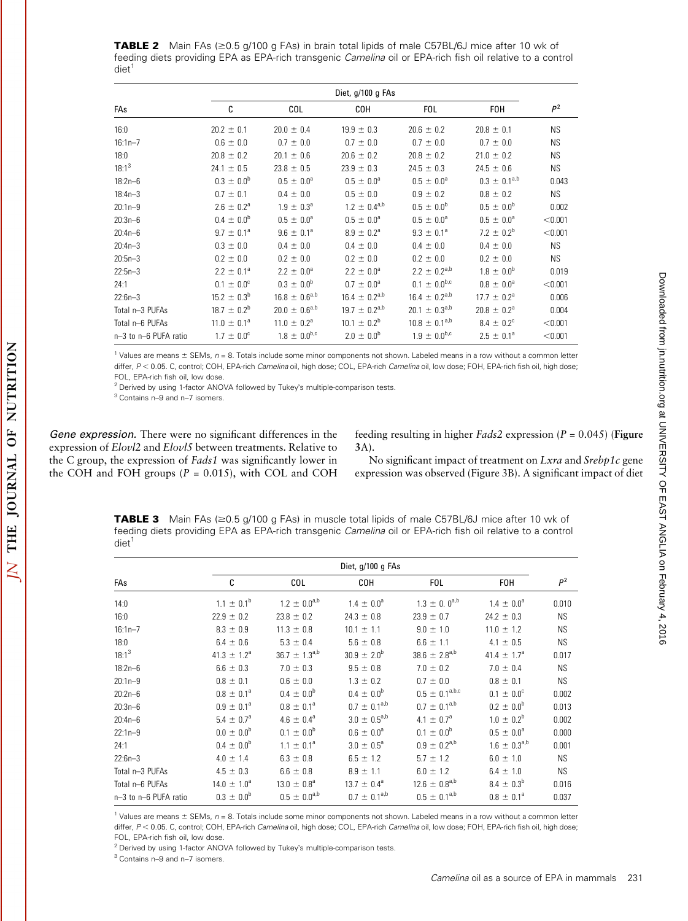**TABLE 2** Main FAs  $\approx$  0.5 g/100 g FAs) in brain total lipids of male C57BL/6J mice after 10 wk of feeding diets providing EPA as EPA-rich transgenic Camelina oil or EPA-rich fish oil relative to a control  $\text{diet}^1$ 

| Diet, g/100 g FAs     |                       |                        |                       |                      |                            |           |
|-----------------------|-----------------------|------------------------|-----------------------|----------------------|----------------------------|-----------|
| FAs                   | C                     | COL                    | <b>COH</b>            | <b>FOL</b>           | <b>FOH</b>                 | $P^2$     |
| 16:0                  | $20.2 \pm 0.1$        | $20.0 \pm 0.4$         | $19.9 \pm 0.3$        | $20.6 \pm 0.2$       | $20.8 \pm 0.1$             | <b>NS</b> |
| $16:1n - 7$           | $0.6 \pm 0.0$         | $0.7 \pm 0.0$          | $0.7 \pm 0.0$         | $0.7 \pm 0.0$        | $0.7 \pm 0.0$              | <b>NS</b> |
| 18:0                  | $20.8 \pm 0.2$        | $20.1 \pm 0.6$         | $20.6 \pm 0.2$        | $20.8 \pm 0.2$       | $21.0 \pm 0.2$             | <b>NS</b> |
| $18:1^3$              | $24.1 \pm 0.5$        | $23.8 \pm 0.5$         | $23.9 \pm 0.3$        | $24.5 \pm 0.3$       | $24.5 \pm 0.6$             | <b>NS</b> |
| $18:2n-6$             | $0.3 \pm 0.0^{\rm b}$ | $0.5 \pm 0.0^{\circ}$  | $0.5 \pm 0.0^{\circ}$ | $0.5 \pm 0.0^a$      | $0.3 \pm 0.1^{a,b}$        | 0.043     |
| $18:4n - 3$           | $0.7 \pm 0.1$         | $0.4 \pm 0.0$          | $0.5 \pm 0.0$         | $0.9 \pm 0.2$        | $0.8 \pm 0.2$              | <b>NS</b> |
| $20:1n-9$             | $2.6 \pm 0.2^a$       | $1.9 \pm 0.3^{\circ}$  | $1.2 \pm 0.4^{a,b}$   | $0.5 \pm 0.0^b$      | $0.5 \pm 0.0^b$            | 0.002     |
| $20:3n-6$             | $0.4 \pm 0.0^b$       | $0.5 \pm 0.0^{\circ}$  | $0.5 \pm 0.0^{\circ}$ | $0.5 \pm 0.0^a$      | $0.5 \pm 0.0^{\circ}$      | < 0.001   |
| $20:4n-6$             | $9.7 \pm 0.1^a$       | $9.6 \pm 0.1^a$        | $8.9 \pm 0.2^{\circ}$ | $9.3 \pm 0.1^a$      | 7.2 $\pm$ 0.2 <sup>b</sup> | < 0.001   |
| $20:4n-3$             | $0.3 \pm 0.0$         | $0.4 \pm 0.0$          | $0.4 \pm 0.0$         | $0.4 \pm 0.0$        | $0.4 \pm 0.0$              | <b>NS</b> |
| $20:5n-3$             | $0.2 \pm 0.0$         | $0.2 \pm 0.0$          | $0.2 \pm 0.0$         | $0.2 \pm 0.0$        | $0.2 \pm 0.0$              | <b>NS</b> |
| $22:5n-3$             | $2.2 \pm 0.1^a$       | $2.2 \pm 0.0^a$        | $2.2 \pm 0.0^a$       | $2.2 \pm 0.2^{a,b}$  | $1.8 \pm 0.0^{b}$          | 0.019     |
| 24:1                  | $0.1 \pm 0.0^{\circ}$ | $0.3 \pm 0.0^{6}$      | $0.7 \pm 0.0^a$       | $0.1 \pm 0.0^{b,c}$  | $0.8 \pm 0.0^{\circ}$      | < 0.001   |
| $22:6n-3$             | $15.2 \pm 0.3^b$      | $16.8 \pm 0.6^{a,b}$   | $16.4 \pm 0.2^{a,b}$  | $16.4 \pm 0.2^{a,b}$ | $17.7 \pm 0.2^{\circ}$     | 0.006     |
| Total n-3 PUFAs       | $18.7 \pm 0.2^b$      | $20.0 \pm 0.6^{a,b}$   | $19.7 \pm 0.2^{a,b}$  | $20.1 \pm 0.3^{a,b}$ | $20.8 \pm 0.2^{\circ}$     | 0.004     |
| Total n-6 PUFAs       | $11.0 \pm 0.1^a$      | $11.0 \pm 0.2^{\circ}$ | $10.1 \pm 0.2^b$      | $10.8 \pm 0.1^{a,b}$ | $8.4 \pm 0.2^{\circ}$      | < 0.001   |
| n-3 to n-6 PUFA ratio | $1.7 \pm 0.0^{\circ}$ | $1.8 \pm 0.0^{b,c}$    | $2.0 \pm 0.0^{\rm b}$ | $1.9 \pm 0.0^{b,c}$  | $2.5 \pm 0.1^a$            | < 0.001   |

<sup>1</sup> Values are means  $\pm$  SEMs,  $n = 8$ . Totals include some minor components not shown. Labeled means in a row without a common letter differ, P < 0.05. C, control; COH, EPA-rich Camelina oil, high dose; COL, EPA-rich Camelina oil, low dose; FOH, EPA-rich fish oil, high dose; FOL, EPA-rich fish oil, low dose.

<sup>2</sup> Derived by using 1-factor ANOVA followed by Tukey's multiple-comparison tests.

<sup>3</sup> Contains n–9 and n–7 isomers.

OF NUTRITION

THE JOURNAL

 $\overline{\mathsf{N}}$ 

Gene expression. There were no significant differences in the expression of Elovl2 and Elovl5 between treatments. Relative to the C group, the expression of Fads1 was significantly lower in the COH and FOH groups ( $P = 0.015$ ), with COL and COH

feeding resulting in higher *Fads*2 expression ( $P = 0.045$ ) (**Figure** 3A).

No significant impact of treatment on Lxra and Srebp1c gene expression was observed (Figure 3B). A significant impact of diet

**TABLE 3** Main FAs  $(\geq 0.5 \text{ g}/100 \text{ g}$  FAs) in muscle total lipids of male C57BL/6J mice after 10 wk of feeding diets providing EPA as EPA-rich transgenic Camelina oil or EPA-rich fish oil relative to a control  $di$ et<sup>1</sup>

|                       | Diet, g/100 g FAs     |                        |                        |                       |                             |           |
|-----------------------|-----------------------|------------------------|------------------------|-----------------------|-----------------------------|-----------|
| FAs                   | C                     | COL                    | COH                    | <b>FOL</b>            | <b>FOH</b>                  | $P^2$     |
| 14:0                  | $1.1 \pm 0.1^b$       | $1.2 \pm 0.0^{a,b}$    | $1.4 \pm 0.0^a$        | $1.3 \pm 0.0^{a,b}$   | $1.4 \pm 0.0^{\circ}$       | 0.010     |
| 16:0                  | $22.9 \pm 0.2$        | $23.8 \pm 0.2$         | $24.3 \pm 0.8$         | $23.9 \pm 0.7$        | $24.2 \pm 0.3$              | <b>NS</b> |
| $16:1n - 7$           | $8.3 \pm 0.9$         | $11.3 \pm 0.8$         | $10.1 \pm 1.1$         | $9.0 \pm 1.0$         | $11.0 \pm 1.2$              | <b>NS</b> |
| 18:0                  | $6.4 \pm 0.6$         | $5.3 \pm 0.4$          | $5.6 \pm 0.8$          | $6.6 \pm 1.1$         | $4.1 \pm 0.5$               | <b>NS</b> |
| $18:1^3$              | $41.3 \pm 1.2^a$      | $36.7 \pm 1.3^{a,b}$   | $30.9 \pm 2.0^{\rm b}$ | $38.6 \pm 2.8^{a,b}$  | 41.4 $\pm$ 1.7 <sup>a</sup> | 0.017     |
| $18:2n-6$             | $6.6 \pm 0.3$         | $7.0 \pm 0.3$          | $9.5 \pm 0.8$          | $7.0 \pm 0.2$         | $7.0 \pm 0.4$               | <b>NS</b> |
| $20:1n-9$             | $0.8 \pm 0.1$         | $0.6 \pm 0.0$          | $1.3 \pm 0.2$          | $0.7 \pm 0.0$         | $0.8 \pm 0.1$               | <b>NS</b> |
| $20:2n-6$             | $0.8 \pm 0.1^a$       | $0.4 \pm 0.0^{\rm b}$  | $0.4 \pm 0.0^b$        | $0.5 \pm 0.1^{a,b,c}$ | $0.1 \pm 0.0^{\circ}$       | 0.002     |
| $20:3n-6$             | $0.9 \pm 0.1^{\circ}$ | $0.8 \pm 0.1^a$        | $0.7 \pm 0.1^{a,b}$    | $0.7 \pm 0.1^{a,b}$   | $0.2 \pm 0.0^{\rm b}$       | 0.013     |
| $20:4n - 6$           | $5.4 \pm 0.7^{\circ}$ | $4.6 \pm 0.4^{\circ}$  | $3.0 \pm 0.5^{a,b}$    | $4.1 \pm 0.7^{\circ}$ | $1.0 \pm 0.2^b$             | 0.002     |
| $22:1n-9$             | $0.0 \pm 0.0^b$       | $0.1 \pm 0.0^b$        | $0.6 \pm 0.0^a$        | $0.1 \pm 0.0^{\rm b}$ | $0.5 \pm 0.0^{\circ}$       | 0.000     |
| 24:1                  | $0.4 \pm 0.0^{\rm b}$ | $1.1 \pm 0.1^a$        | $3.0 \pm 0.5^{\circ}$  | $0.9 \pm 0.2^{a,b}$   | $1.6 \pm 0.3^{a,b}$         | 0.001     |
| $22:6n-3$             | $4.0 \pm 1.4$         | $6.3 \pm 0.8$          | $6.5 \pm 1.2$          | $5.7 \pm 1.2$         | $6.0 \pm 1.0$               | <b>NS</b> |
| Total n-3 PUFAs       | $4.5 \pm 0.3$         | $6.6 \pm 0.8$          | $8.9 \pm 1.1$          | $6.0 \pm 1.2$         | $6.4 \pm 1.0$               | <b>NS</b> |
| Total n-6 PUFAs       | $14.0 \pm 1.0^a$      | $13.0 \pm 0.8^{\circ}$ | $13.7 \pm 0.4^{\circ}$ | $12.6 \pm 0.8^{a,b}$  | $8.4 \pm 0.3^{b}$           | 0.016     |
| n-3 to n-6 PUFA ratio | $0.3 \pm 0.0^{\rm b}$ | $0.5 \pm 0.0^{a,b}$    | $0.7 \pm 0.1^{a,b}$    | $0.5 \pm 0.1^{a,b}$   | $0.8 \pm 0.1^a$             | 0.037     |

 $1$  Values are means  $\pm$  SEMs,  $n = 8$ . Totals include some minor components not shown. Labeled means in a row without a common letter differ, P < 0.05. C, control; COH, EPA-rich Camelina oil, high dose; COL, EPA-rich Camelina oil, low dose; FOH, EPA-rich fish oil, high dose; FOL, EPA-rich fish oil, low dose.

 $2$  Derived by using 1-factor ANOVA followed by Tukey's multiple-comparison tests.

<sup>3</sup> Contains n–9 and n–7 isomers.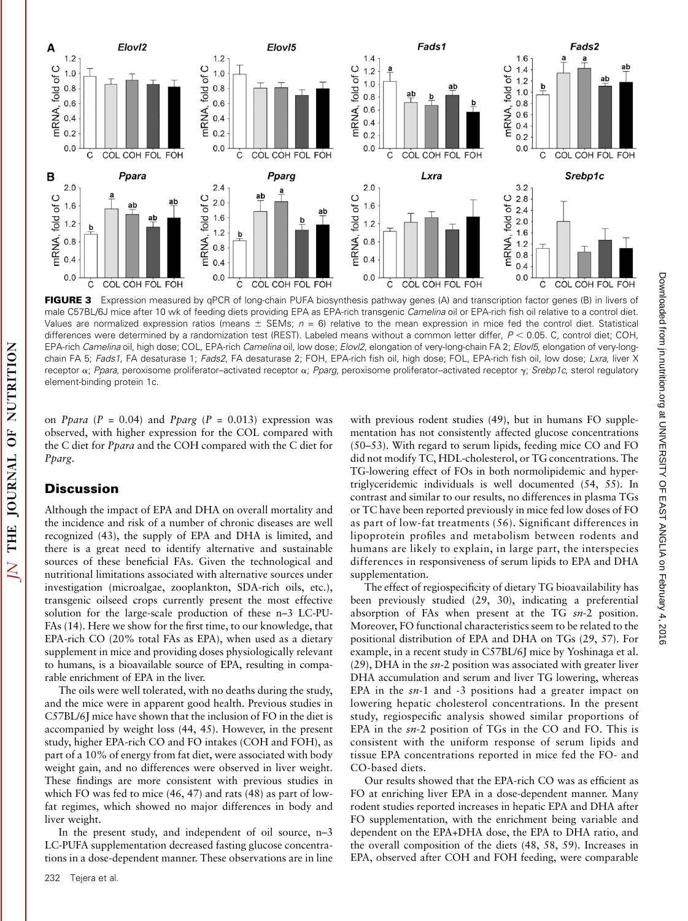

FIGURE 3 Expression measured by qPCR of long-chain PUFA biosynthesis pathway genes (A) and transcription factor genes (B) in livers of male C57BL/6J mice after 10 wk of feeding diets providing EPA as EPA-rich transgenic Camelina oil or EPA-rich fish oil relative to a control diet. Values are normalized expression ratios (means  $\pm$  SEMs;  $n = 6$ ) relative to the mean expression in mice fed the control diet. Statistical differences were determined by a randomization test (REST). Labeled means without a common letter differ,  $P < 0.05$ . C, control diet; COH, EPA-rich Camelina oil, high dose; COL, EPA-rich Camelina oil, low dose; Elovl2, elongation of very-long-chain FA 2; Elovl5, elongation of very-longchain FA 5; Fads1, FA desaturase 1; Fads2, FA desaturase 2; FOH, EPA-rich fish oil, high dose; FOL, EPA-rich fish oil, low dose; Lxra, liver X receptor  $\alpha$ ; Ppara, peroxisome proliferator-activated receptor  $\alpha$ ; Pparg, peroxisome proliferator-activated receptor  $\gamma$ ; Srebp1c, sterol regulatory element-binding protein 1c.

on *Ppara* ( $P = 0.04$ ) and *Pparg* ( $P = 0.013$ ) expression was observed, with higher expression for the COL compared with the C diet for Ppara and the COH compared with the C diet for

 $\overline{\Delta}$ 

Although the impact of EPA and DHA on overall mortality and the incidence and risk of a number of chronic diseases are well recognized (43), the supply of EPA and DHA is limited, and there is a great need to identify alternative and sustainable sources of these beneficial FAs. Given the technological and nutritional limitations associated with alternative sources under investigation (microalgae, zooplankton, SDA-rich oils, etc.), transgenic oilseed crops currently present the most effective solution for the large-scale production of these n–3 LC-PU-FAs (14). Here we show for the first time, to our knowledge, that EPA-rich CO (20% total FAs as EPA), when used as a dietary supplement in mice and providing doses physiologically relevant to humans, is a bioavailable source of EPA, resulting in comparable enrichment of EPA in the liver.

The oils were well tolerated, with no deaths during the study, and the mice were in apparent good health. Previous studies in C57BL/6J mice have shown that the inclusion of FO in the diet is accompanied by weight loss (44, 45). However, in the present study, higher EPA-rich CO and FO intakes (COH and FOH), as part of a 10% of energy from fat diet, were associated with body weight gain, and no differences were observed in liver weight. These findings are more consistent with previous studies in which FO was fed to mice (46, 47) and rats (48) as part of lowfat regimes, which showed no major differences in body and liver weight.

In the present study, and independent of oil source, n–3 LC-PUFA supplementation decreased fasting glucose concentrations in a dose-dependent manner. These observations are in line

with previous rodent studies (49), but in humans FO supplementation has not consistently affected glucose concentrations (50–53). With regard to serum lipids, feeding mice CO and FO did not modify TC, HDL-cholesterol, or TG concentrations. The TG-lowering effect of FOs in both normolipidemic and hypertriglyceridemic individuals is well documented (54, 55). In contrast and similar to our results, no differences in plasma TGs or TC have been reported previously in mice fed low doses of FO as part of low-fat treatments (56). Significant differences in lipoprotein profiles and metabolism between rodents and humans are likely to explain, in large part, the interspecies differences in responsiveness of serum lipids to EPA and DHA supplementation.

The effect of regiospecificity of dietary TG bioavailability has been previously studied (29, 30), indicating a preferential absorption of FAs when present at the TG  $sn-2$  position. Moreover, FO functional characteristics seem to be related to the positional distribution of EPA and DHA on TGs (29, 57). For example, in a recent study in C57BL/6J mice by Yoshinaga et al.  $(29)$ , DHA in the  $sn-2$  position was associated with greater liver DHA accumulation and serum and liver TG lowering, whereas EPA in the  $sn-1$  and  $-3$  positions had a greater impact on lowering hepatic cholesterol concentrations. In the present study, regiospecific analysis showed similar proportions of EPA in the sn-2 position of TGs in the CO and FO. This is consistent with the uniform response of serum lipids and tissue EPA concentrations reported in mice fed the FO- and CO-based diets.

Our results showed that the EPA-rich CO was as efficient as FO at enriching liver EPA in a dose-dependent manner. Many rodent studies reported increases in hepatic EPA and DHA after FO supplementation, with the enrichment being variable and dependent on the EPA+DHA dose, the EPA to DHA ratio, and the overall composition of the diets (48, 58, 59). Increases in EPA, observed after COH and FOH feeding, were comparable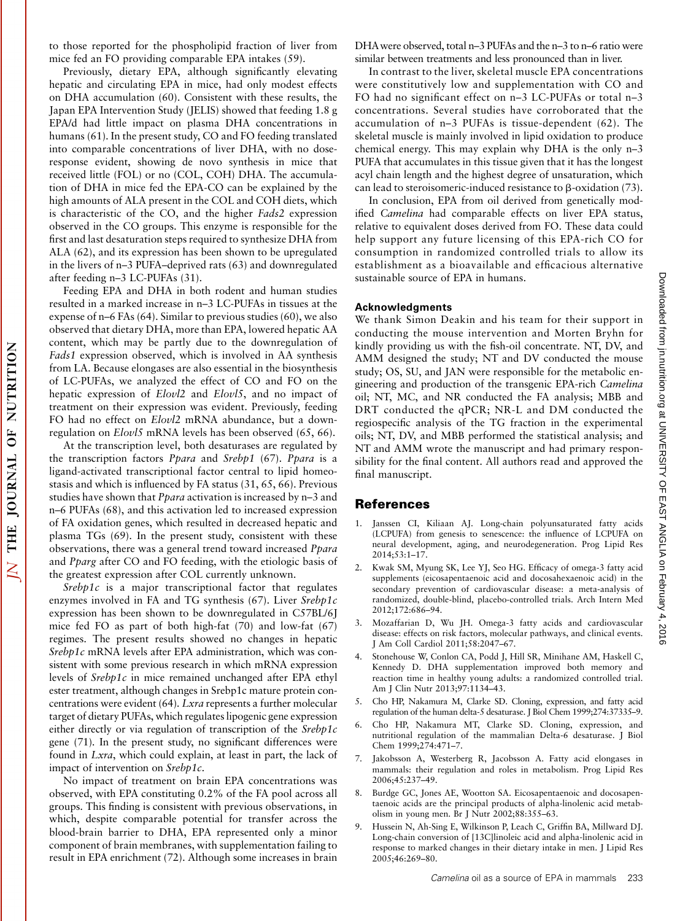to those reported for the phospholipid fraction of liver from mice fed an FO providing comparable EPA intakes (59).

Previously, dietary EPA, although significantly elevating hepatic and circulating EPA in mice, had only modest effects on DHA accumulation (60). Consistent with these results, the Japan EPA Intervention Study (JELIS) showed that feeding 1.8 g EPA/d had little impact on plasma DHA concentrations in humans (61). In the present study, CO and FO feeding translated into comparable concentrations of liver DHA, with no doseresponse evident, showing de novo synthesis in mice that received little (FOL) or no (COL, COH) DHA. The accumulation of DHA in mice fed the EPA-CO can be explained by the high amounts of ALA present in the COL and COH diets, which is characteristic of the CO, and the higher Fads2 expression observed in the CO groups. This enzyme is responsible for the first and last desaturation steps required to synthesize DHA from ALA (62), and its expression has been shown to be upregulated in the livers of n–3 PUFA–deprived rats (63) and downregulated after feeding n–3 LC-PUFAs (31).

Feeding EPA and DHA in both rodent and human studies resulted in a marked increase in n–3 LC-PUFAs in tissues at the expense of n–6 FAs (64). Similar to previous studies (60), we also observed that dietary DHA, more than EPA, lowered hepatic AA content, which may be partly due to the downregulation of Fads1 expression observed, which is involved in AA synthesis from LA. Because elongases are also essential in the biosynthesis of LC-PUFAs, we analyzed the effect of CO and FO on the hepatic expression of Elovl2 and Elovl5, and no impact of treatment on their expression was evident. Previously, feeding FO had no effect on Elovl2 mRNA abundance, but a downregulation on Elovl5 mRNA levels has been observed (65, 66).

At the transcription level, both desaturases are regulated by the transcription factors Ppara and Srebp1 (67). Ppara is a ligand-activated transcriptional factor central to lipid homeostasis and which is influenced by FA status (31, 65, 66). Previous studies have shown that Ppara activation is increased by n–3 and n–6 PUFAs (68), and this activation led to increased expression of FA oxidation genes, which resulted in decreased hepatic and plasma TGs (69). In the present study, consistent with these observations, there was a general trend toward increased Ppara and Pparg after CO and FO feeding, with the etiologic basis of the greatest expression after COL currently unknown.

Srebp1c is a major transcriptional factor that regulates enzymes involved in FA and TG synthesis (67). Liver Srebp1c expression has been shown to be downregulated in C57BL/6J mice fed FO as part of both high-fat (70) and low-fat (67) regimes. The present results showed no changes in hepatic Srebp1c mRNA levels after EPA administration, which was consistent with some previous research in which mRNA expression levels of Srebp1c in mice remained unchanged after EPA ethyl ester treatment, although changes in Srebp1c mature protein concentrations were evident (64). Lxra represents a further molecular target of dietary PUFAs, which regulates lipogenic gene expression either directly or via regulation of transcription of the Srebp1c gene (71). In the present study, no significant differences were found in Lxra, which could explain, at least in part, the lack of impact of intervention on Srebp1c.

No impact of treatment on brain EPA concentrations was observed, with EPA constituting 0.2% of the FA pool across all groups. This finding is consistent with previous observations, in which, despite comparable potential for transfer across the blood-brain barrier to DHA, EPA represented only a minor component of brain membranes, with supplementation failing to result in EPA enrichment (72). Although some increases in brain

DHAwere observed, total n–3 PUFAs and the n–3 to n–6 ratio were similar between treatments and less pronounced than in liver.

In contrast to the liver, skeletal muscle EPA concentrations were constitutively low and supplementation with CO and FO had no significant effect on n–3 LC-PUFAs or total n–3 concentrations. Several studies have corroborated that the accumulation of n–3 PUFAs is tissue-dependent (62). The skeletal muscle is mainly involved in lipid oxidation to produce chemical energy. This may explain why DHA is the only n–3 PUFA that accumulates in this tissue given that it has the longest acyl chain length and the highest degree of unsaturation, which can lead to steroisomeric-induced resistance to  $\beta$ -oxidation (73).

In conclusion, EPA from oil derived from genetically modified Camelina had comparable effects on liver EPA status, relative to equivalent doses derived from FO. These data could help support any future licensing of this EPA-rich CO for consumption in randomized controlled trials to allow its establishment as a bioavailable and efficacious alternative sustainable source of EPA in humans.

### Acknowledgments

We thank Simon Deakin and his team for their support in conducting the mouse intervention and Morten Bryhn for kindly providing us with the fish-oil concentrate. NT, DV, and AMM designed the study; NT and DV conducted the mouse study; OS, SU, and JAN were responsible for the metabolic engineering and production of the transgenic EPA-rich Camelina oil; NT, MC, and NR conducted the FA analysis; MBB and DRT conducted the qPCR; NR-L and DM conducted the regiospecific analysis of the TG fraction in the experimental oils; NT, DV, and MBB performed the statistical analysis; and NT and AMM wrote the manuscript and had primary responsibility for the final content. All authors read and approved the final manuscript.

#### References

- 1. Janssen CI, Kiliaan AJ. Long-chain polyunsaturated fatty acids (LCPUFA) from genesis to senescence: the influence of LCPUFA on neural development, aging, and neurodegeneration. Prog Lipid Res 2014;53:1–17.
- 2. Kwak SM, Myung SK, Lee YJ, Seo HG. Efficacy of omega-3 fatty acid supplements (eicosapentaenoic acid and docosahexaenoic acid) in the secondary prevention of cardiovascular disease: a meta-analysis of randomized, double-blind, placebo-controlled trials. Arch Intern Med 2012;172:686–94.
- 3. Mozaffarian D, Wu JH. Omega-3 fatty acids and cardiovascular disease: effects on risk factors, molecular pathways, and clinical events. J Am Coll Cardiol 2011;58:2047–67.
- 4. Stonehouse W, Conlon CA, Podd J, Hill SR, Minihane AM, Haskell C, Kennedy D. DHA supplementation improved both memory and reaction time in healthy young adults: a randomized controlled trial. Am J Clin Nutr 2013;97:1134–43.
- 5. Cho HP, Nakamura M, Clarke SD. Cloning, expression, and fatty acid regulation of the human delta-5 desaturase. J Biol Chem 1999;274:37335–9.
- 6. Cho HP, Nakamura MT, Clarke SD. Cloning, expression, and nutritional regulation of the mammalian Delta-6 desaturase. J Biol Chem 1999;274:471–7.
- 7. Jakobsson A, Westerberg R, Jacobsson A. Fatty acid elongases in mammals: their regulation and roles in metabolism. Prog Lipid Res 2006;45:237–49.
- 8. Burdge GC, Jones AE, Wootton SA. Eicosapentaenoic and docosapentaenoic acids are the principal products of alpha-linolenic acid metabolism in young men. Br J Nutr 2002;88:355–63.
- 9. Hussein N, Ah-Sing E, Wilkinson P, Leach C, Griffin BA, Millward DJ. Long-chain conversion of [13C]linoleic acid and alpha-linolenic acid in response to marked changes in their dietary intake in men. J Lipid Res 2005;46:269–80.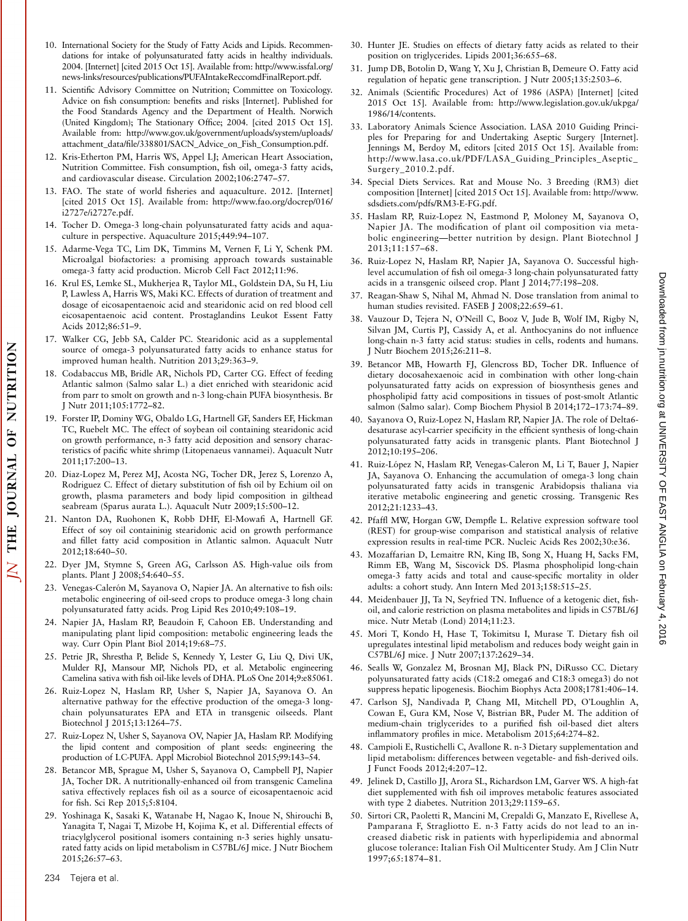- 10. International Society for the Study of Fatty Acids and Lipids. Recommendations for intake of polyunsaturated fatty acids in healthy individuals. 2004. [Internet] [cited 2015 Oct 15]. Available from: http://www.issfal.org/ news-links/resources/publications/PUFAIntakeReccomdFinalReport.pdf.
- 11. Scientific Advisory Committee on Nutrition; Committee on Toxicology. Advice on fish consumption: benefits and risks [Internet]. Published for the Food Standards Agency and the Department of Health. Norwich (United Kingdom); The Stationary Office; 2004. [cited 2015 Oct 15]. Available from: http://www.gov.uk/government/uploads/system/uploads/ attachment\_data/file/338801/SACN\_Advice\_on\_Fish\_Consumption.pdf.
- 12. Kris-Etherton PM, Harris WS, Appel LJ; American Heart Association, Nutrition Committee. Fish consumption, fish oil, omega-3 fatty acids, and cardiovascular disease. Circulation 2002;106:2747–57.
- 13. FAO. The state of world fisheries and aquaculture. 2012. [Internet] [cited 2015 Oct 15]. Available from: http://www.fao.org/docrep/016/ i2727e/i2727e.pdf.
- 14. Tocher D. Omega-3 long-chain polyunsaturated fatty acids and aquaculture in perspective. Aquaculture 2015;449:94–107.
- 15. Adarme-Vega TC, Lim DK, Timmins M, Vernen F, Li Y, Schenk PM. Microalgal biofactories: a promising approach towards sustainable omega-3 fatty acid production. Microb Cell Fact 2012;11:96.
- 16. Krul ES, Lemke SL, Mukherjea R, Taylor ML, Goldstein DA, Su H, Liu P, Lawless A, Harris WS, Maki KC. Effects of duration of treatment and dosage of eicosapentaenoic acid and stearidonic acid on red blood cell eicosapentaenoic acid content. Prostaglandins Leukot Essent Fatty Acids 2012;86:51–9.
- 17. Walker CG, Jebb SA, Calder PC. Stearidonic acid as a supplemental source of omega-3 polyunsaturated fatty acids to enhance status for improved human health. Nutrition 2013;29:363–9.
- 18. Codabaccus MB, Bridle AR, Nichols PD, Carter CG. Effect of feeding Atlantic salmon (Salmo salar L.) a diet enriched with stearidonic acid from parr to smolt on growth and n-3 long-chain PUFA biosynthesis. Br J Nutr 2011;105:1772–82.
- 19. Forster IP, Dominy WG, Obaldo LG, Hartnell GF, Sanders EF, Hickman TC, Ruebelt MC. The effect of soybean oil containing stearidonic acid on growth performance, n-3 fatty acid deposition and sensory characteristics of pacific white shrimp (Litopenaeus vannamei). Aquacult Nutr 2011;17:200–13.
- 20. Diaz-Lopez M, Perez MJ, Acosta NG, Tocher DR, Jerez S, Lorenzo A, Rodriguez C. Effect of dietary substitution of fish oil by Echium oil on growth, plasma parameters and body lipid composition in gilthead seabream (Sparus aurata L.). Aquacult Nutr 2009;15:500–12.
- 21. Nanton DA, Ruohonen K, Robb DHF, El-Mowafi A, Hartnell GF. Effect of soy oil containinig stearidonic acid on growth performance and fillet fatty acid composition in Atlantic salmon. Aquacult Nutr 2012;18:640–50.
- 22. Dyer JM, Stymne S, Green AG, Carlsson AS. High-value oils from plants. Plant J 2008;54:640–55.
- 23. Venegas-Calerón M, Sayanova O, Napier JA. An alternative to fish oils: metabolic engineering of oil-seed crops to produce omega-3 long chain polyunsaturated fatty acids. Prog Lipid Res 2010;49:108–19.
- 24. Napier JA, Haslam RP, Beaudoin F, Cahoon EB. Understanding and manipulating plant lipid composition: metabolic engineering leads the way. Curr Opin Plant Biol 2014;19:68–75.
- 25. Petrie JR, Shrestha P, Belide S, Kennedy Y, Lester G, Liu Q, Divi UK, Mulder RJ, Mansour MP, Nichols PD, et al. Metabolic engineering Camelina sativa with fish oil-like levels of DHA. PLoS One 2014;9:e85061.
- 26. Ruiz-Lopez N, Haslam RP, Usher S, Napier JA, Sayanova O. An alternative pathway for the effective production of the omega-3 longchain polyunsaturates EPA and ETA in transgenic oilseeds. Plant Biotechnol J 2015;13:1264–75.
- 27. Ruiz-Lopez N, Usher S, Sayanova OV, Napier JA, Haslam RP. Modifying the lipid content and composition of plant seeds: engineering the production of LC-PUFA. Appl Microbiol Biotechnol 2015;99:143–54.
- 28. Betancor MB, Sprague M, Usher S, Sayanova O, Campbell PJ, Napier JA, Tocher DR. A nutritionally-enhanced oil from transgenic Camelina sativa effectively replaces fish oil as a source of eicosapentaenoic acid for fish. Sci Rep 2015;5:8104.
- 29. Yoshinaga K, Sasaki K, Watanabe H, Nagao K, Inoue N, Shirouchi B, Yanagita T, Nagai T, Mizobe H, Kojima K, et al. Differential effects of triacylglycerol positional isomers containing n-3 series highly unsaturated fatty acids on lipid metabolism in C57BL/6J mice. J Nutr Biochem 2015;26:57–63.
- 30. Hunter JE. Studies on effects of dietary fatty acids as related to their position on triglycerides. Lipids 2001;36:655–68.
- 31. Jump DB, Botolin D, Wang Y, Xu J, Christian B, Demeure O. Fatty acid regulation of hepatic gene transcription. J Nutr 2005;135:2503–6.
- 32. Animals (Scientific Procedures) Act of 1986 (ASPA) [Internet] [cited 2015 Oct 15]. Available from: http://www.legislation.gov.uk/ukpga/ 1986/14/contents.
- 33. Laboratory Animals Science Association. LASA 2010 Guiding Principles for Preparing for and Undertaking Aseptic Surgery [Internet]. Jennings M, Berdoy M, editors [cited 2015 Oct 15]. Available from: http://www.lasa.co.uk/PDF/LASA\_Guiding\_Principles\_Aseptic\_ Surgery\_2010.2.pdf.
- 34. Special Diets Services. Rat and Mouse No. 3 Breeding (RM3) diet composition [Internet] [cited 2015 Oct 15]. Available from: http://www. sdsdiets.com/pdfs/RM3-E-FG.pdf.
- 35. Haslam RP, Ruiz-Lopez N, Eastmond P, Moloney M, Sayanova O, Napier JA. The modification of plant oil composition via metabolic engineering—better nutrition by design. Plant Biotechnol J 2013;11:157–68.
- 36. Ruiz-Lopez N, Haslam RP, Napier JA, Sayanova O. Successful highlevel accumulation of fish oil omega-3 long-chain polyunsaturated fatty acids in a transgenic oilseed crop. Plant J 2014;77:198–208.
- 37. Reagan-Shaw S, Nihal M, Ahmad N. Dose translation from animal to human studies revisited. FASEB J 2008;22:659–61.
- 38. Vauzour D, Tejera N, O'Neill C, Booz V, Jude B, Wolf IM, Rigby N, Silvan JM, Curtis PJ, Cassidy A, et al. Anthocyanins do not influence long-chain n-3 fatty acid status: studies in cells, rodents and humans. J Nutr Biochem 2015;26:211–8.
- 39. Betancor MB, Howarth FJ, Glencross BD, Tocher DR. Influence of dietary docosahexaenoic acid in combination with other long-chain polyunsaturated fatty acids on expression of biosynthesis genes and phospholipid fatty acid compositions in tissues of post-smolt Atlantic salmon (Salmo salar). Comp Biochem Physiol B 2014;172–173:74–89.
- 40. Sayanova O, Ruiz-Lopez N, Haslam RP, Napier JA. The role of Delta6 desaturase acyl-carrier specificity in the efficient synthesis of long-chain polyunsaturated fatty acids in transgenic plants. Plant Biotechnol J 2012;10:195–206.
- 41. Ruiz-López N, Haslam RP, Venegas-Caleron M, Li T, Bauer J, Napier JA, Sayanova O. Enhancing the accumulation of omega-3 long chain polyunsaturated fatty acids in transgenic Arabidopsis thaliana via iterative metabolic engineering and genetic crossing. Transgenic Res 2012;21:1233–43.
- 42. Pfaffl MW, Horgan GW, Dempfle L. Relative expression software tool (REST) for group-wise comparison and statistical analysis of relative expression results in real-time PCR. Nucleic Acids Res 2002;30:e36.
- 43. Mozaffarian D, Lemaitre RN, King IB, Song X, Huang H, Sacks FM, Rimm EB, Wang M, Siscovick DS. Plasma phospholipid long-chain omega-3 fatty acids and total and cause-specific mortality in older adults: a cohort study. Ann Intern Med 2013;158:515–25.
- 44. Meidenbauer JJ, Ta N, Seyfried TN. Influence of a ketogenic diet, fishoil, and calorie restriction on plasma metabolites and lipids in C57BL/6J mice. Nutr Metab (Lond) 2014;11:23.
- 45. Mori T, Kondo H, Hase T, Tokimitsu I, Murase T. Dietary fish oil upregulates intestinal lipid metabolism and reduces body weight gain in C57BL/6J mice. J Nutr 2007;137:2629–34.
- 46. Sealls W, Gonzalez M, Brosnan MJ, Black PN, DiRusso CC. Dietary polyunsaturated fatty acids (C18:2 omega6 and C18:3 omega3) do not suppress hepatic lipogenesis. Biochim Biophys Acta 2008;1781:406–14.
- 47. Carlson SJ, Nandivada P, Chang MI, Mitchell PD, OLoughlin A, Cowan E, Gura KM, Nose V, Bistrian BR, Puder M. The addition of medium-chain triglycerides to a purified fish oil-based diet alters inflammatory profiles in mice. Metabolism 2015;64:274–82.
- 48. Campioli E, Rustichelli C, Avallone R. n-3 Dietary supplementation and lipid metabolism: differences between vegetable- and fish-derived oils. J Funct Foods 2012;4:207–12.
- 49. Jelinek D, Castillo JJ, Arora SL, Richardson LM, Garver WS. A high-fat diet supplemented with fish oil improves metabolic features associated with type 2 diabetes. Nutrition 2013;29:1159–65.
- 50. Sirtori CR, Paoletti R, Mancini M, Crepaldi G, Manzato E, Rivellese A, Pamparana F, Stragliotto E. n-3 Fatty acids do not lead to an increased diabetic risk in patients with hyperlipidemia and abnormal glucose tolerance: Italian Fish Oil Multicenter Study. Am J Clin Nutr 1997;65:1874–81.

NUTRITION

 $\overline{0}$ 

JOURNAL

THE

 $\overline{\Delta}$